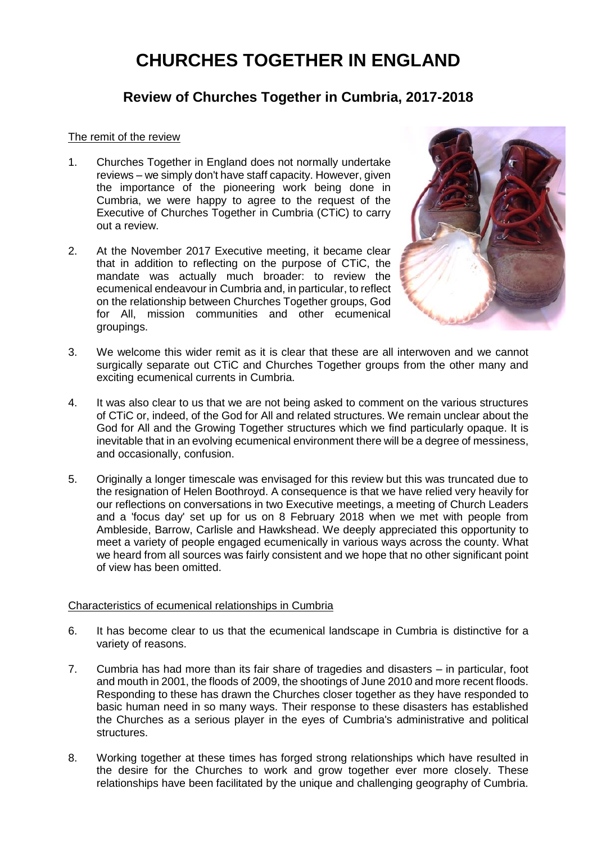# **CHURCHES TOGETHER IN ENGLAND**

# **Review of Churches Together in Cumbria, 2017-2018**

# The remit of the review

- 1. Churches Together in England does not normally undertake reviews – we simply don't have staff capacity. However, given the importance of the pioneering work being done in Cumbria, we were happy to agree to the request of the Executive of Churches Together in Cumbria (CTiC) to carry out a review.
- 2. At the November 2017 Executive meeting, it became clear that in addition to reflecting on the purpose of CTiC, the mandate was actually much broader: to review the ecumenical endeavour in Cumbria and, in particular, to reflect on the relationship between Churches Together groups, God for All, mission communities and other ecumenical groupings.



- 3. We welcome this wider remit as it is clear that these are all interwoven and we cannot surgically separate out CTiC and Churches Together groups from the other many and exciting ecumenical currents in Cumbria.
- 4. It was also clear to us that we are not being asked to comment on the various structures of CTiC or, indeed, of the God for All and related structures. We remain unclear about the God for All and the Growing Together structures which we find particularly opaque. It is inevitable that in an evolving ecumenical environment there will be a degree of messiness, and occasionally, confusion.
- 5. Originally a longer timescale was envisaged for this review but this was truncated due to the resignation of Helen Boothroyd. A consequence is that we have relied very heavily for our reflections on conversations in two Executive meetings, a meeting of Church Leaders and a 'focus day' set up for us on 8 February 2018 when we met with people from Ambleside, Barrow, Carlisle and Hawkshead. We deeply appreciated this opportunity to meet a variety of people engaged ecumenically in various ways across the county. What we heard from all sources was fairly consistent and we hope that no other significant point of view has been omitted.

# Characteristics of ecumenical relationships in Cumbria

- 6. It has become clear to us that the ecumenical landscape in Cumbria is distinctive for a variety of reasons.
- 7. Cumbria has had more than its fair share of tragedies and disasters in particular, foot and mouth in 2001, the floods of 2009, the shootings of June 2010 and more recent floods. Responding to these has drawn the Churches closer together as they have responded to basic human need in so many ways. Their response to these disasters has established the Churches as a serious player in the eyes of Cumbria's administrative and political structures.
- 8. Working together at these times has forged strong relationships which have resulted in the desire for the Churches to work and grow together ever more closely. These relationships have been facilitated by the unique and challenging geography of Cumbria.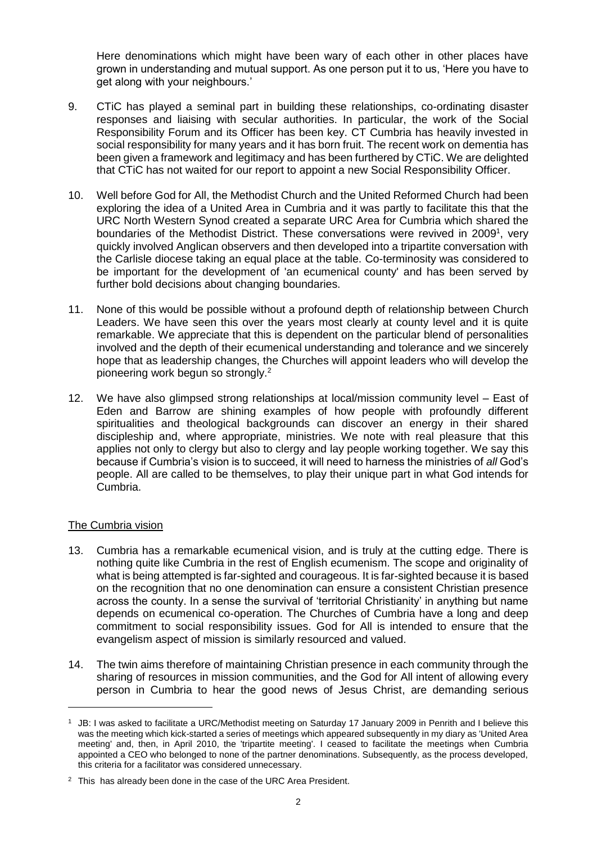Here denominations which might have been wary of each other in other places have grown in understanding and mutual support. As one person put it to us, 'Here you have to get along with your neighbours.'

- 9. CTiC has played a seminal part in building these relationships, co-ordinating disaster responses and liaising with secular authorities. In particular, the work of the Social Responsibility Forum and its Officer has been key. CT Cumbria has heavily invested in social responsibility for many years and it has born fruit. The recent work on dementia has been given a framework and legitimacy and has been furthered by CTiC. We are delighted that CTiC has not waited for our report to appoint a new Social Responsibility Officer.
- 10. Well before God for All, the Methodist Church and the United Reformed Church had been exploring the idea of a United Area in Cumbria and it was partly to facilitate this that the URC North Western Synod created a separate URC Area for Cumbria which shared the boundaries of the Methodist District. These conversations were revived in 2009<sup>1</sup>, very quickly involved Anglican observers and then developed into a tripartite conversation with the Carlisle diocese taking an equal place at the table. Co-terminosity was considered to be important for the development of 'an ecumenical county' and has been served by further bold decisions about changing boundaries.
- 11. None of this would be possible without a profound depth of relationship between Church Leaders. We have seen this over the years most clearly at county level and it is quite remarkable. We appreciate that this is dependent on the particular blend of personalities involved and the depth of their ecumenical understanding and tolerance and we sincerely hope that as leadership changes, the Churches will appoint leaders who will develop the pioneering work begun so strongly.<sup>2</sup>
- 12. We have also glimpsed strong relationships at local/mission community level East of Eden and Barrow are shining examples of how people with profoundly different spiritualities and theological backgrounds can discover an energy in their shared discipleship and, where appropriate, ministries. We note with real pleasure that this applies not only to clergy but also to clergy and lay people working together. We say this because if Cumbria's vision is to succeed, it will need to harness the ministries of *all* God's people. All are called to be themselves, to play their unique part in what God intends for Cumbria.

# The Cumbria vision

- 13. Cumbria has a remarkable ecumenical vision, and is truly at the cutting edge. There is nothing quite like Cumbria in the rest of English ecumenism. The scope and originality of what is being attempted is far-sighted and courageous. It is far-sighted because it is based on the recognition that no one denomination can ensure a consistent Christian presence across the county. In a sense the survival of 'territorial Christianity' in anything but name depends on ecumenical co-operation. The Churches of Cumbria have a long and deep commitment to social responsibility issues. God for All is intended to ensure that the evangelism aspect of mission is similarly resourced and valued.
- 14. The twin aims therefore of maintaining Christian presence in each community through the sharing of resources in mission communities, and the God for All intent of allowing every person in Cumbria to hear the good news of Jesus Christ, are demanding serious

<sup>&</sup>lt;sup>1</sup> JB: I was asked to facilitate a URC/Methodist meeting on Saturday 17 January 2009 in Penrith and I believe this was the meeting which kick-started a series of meetings which appeared subsequently in my diary as 'United Area meeting' and, then, in April 2010, the 'tripartite meeting'. I ceased to facilitate the meetings when Cumbria appointed a CEO who belonged to none of the partner denominations. Subsequently, as the process developed, this criteria for a facilitator was considered unnecessary.

 $2$  This has already been done in the case of the URC Area President.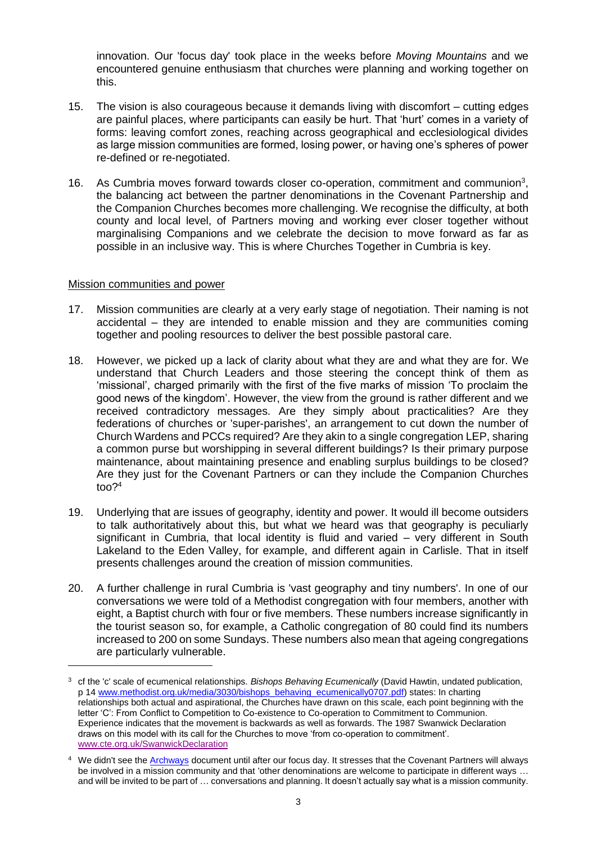innovation. Our 'focus day' took place in the weeks before *Moving Mountains* and we encountered genuine enthusiasm that churches were planning and working together on this.

- 15. The vision is also courageous because it demands living with discomfort cutting edges are painful places, where participants can easily be hurt. That 'hurt' comes in a variety of forms: leaving comfort zones, reaching across geographical and ecclesiological divides as large mission communities are formed, losing power, or having one's spheres of power re-defined or re-negotiated.
- 16. As Cumbria moves forward towards closer co-operation, commitment and communion<sup>3</sup>, the balancing act between the partner denominations in the Covenant Partnership and the Companion Churches becomes more challenging. We recognise the difficulty, at both county and local level, of Partners moving and working ever closer together without marginalising Companions and we celebrate the decision to move forward as far as possible in an inclusive way. This is where Churches Together in Cumbria is key.

#### Mission communities and power

- 17. Mission communities are clearly at a very early stage of negotiation. Their naming is not accidental – they are intended to enable mission and they are communities coming together and pooling resources to deliver the best possible pastoral care.
- 18. However, we picked up a lack of clarity about what they are and what they are for. We understand that Church Leaders and those steering the concept think of them as 'missional', charged primarily with the first of the five marks of mission 'To proclaim the good news of the kingdom'. However, the view from the ground is rather different and we received contradictory messages. Are they simply about practicalities? Are they federations of churches or 'super-parishes', an arrangement to cut down the number of Church Wardens and PCCs required? Are they akin to a single congregation LEP, sharing a common purse but worshipping in several different buildings? Is their primary purpose maintenance, about maintaining presence and enabling surplus buildings to be closed? Are they just for the Covenant Partners or can they include the Companion Churches too?<sup>4</sup>
- 19. Underlying that are issues of geography, identity and power. It would ill become outsiders to talk authoritatively about this, but what we heard was that geography is peculiarly significant in Cumbria, that local identity is fluid and varied – very different in South Lakeland to the Eden Valley, for example, and different again in Carlisle. That in itself presents challenges around the creation of mission communities.
- 20. A further challenge in rural Cumbria is 'vast geography and tiny numbers'. In one of our conversations we were told of a Methodist congregation with four members, another with eight, a Baptist church with four or five members. These numbers increase significantly in the tourist season so, for example, a Catholic congregation of 80 could find its numbers increased to 200 on some Sundays. These numbers also mean that ageing congregations are particularly vulnerable.

<sup>3</sup> cf the 'c' scale of ecumenical relationships. *Bishops Behaving Ecumenically* (David Hawtin, undated publication, p 14 [www.methodist.org.uk/media/3030/bishops\\_behaving\\_ecumenically0707.pdf\)](http://www.methodist.org.uk/media/3030/bishops_behaving_ecumenically0707.pdf) states: In charting relationships both actual and aspirational, the Churches have drawn on this scale, each point beginning with the letter 'C': From Conflict to Competition to Co-existence to Co-operation to Commitment to Communion. Experience indicates that the movement is backwards as well as forwards. The 1987 Swanwick Declaration draws on this model with its call for the Churches to move 'from co-operation to commitment'. [www.cte.org.uk/SwanwickDeclaration](http://www.cte.org.uk/SwanwickDeclaration)

<sup>&</sup>lt;sup>4</sup> We didn't see the **Archways** document until after our focus day. It stresses that the Covenant Partners will always be involved in a mission community and that 'other denominations are welcome to participate in different ways … and will be invited to be part of … conversations and planning. It doesn't actually say what is a mission community.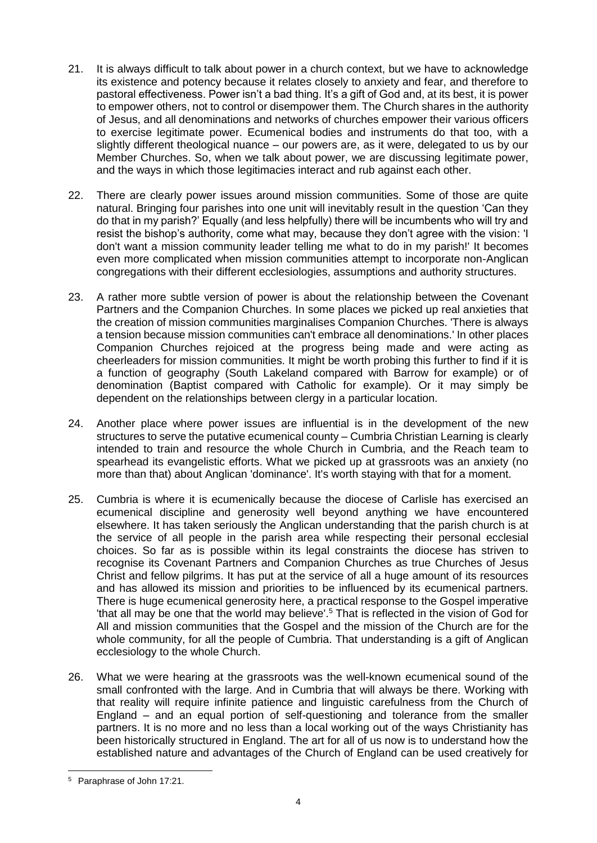- 21. It is always difficult to talk about power in a church context, but we have to acknowledge its existence and potency because it relates closely to anxiety and fear, and therefore to pastoral effectiveness. Power isn't a bad thing. It's a gift of God and, at its best, it is power to empower others, not to control or disempower them. The Church shares in the authority of Jesus, and all denominations and networks of churches empower their various officers to exercise legitimate power. Ecumenical bodies and instruments do that too, with a slightly different theological nuance – our powers are, as it were, delegated to us by our Member Churches. So, when we talk about power, we are discussing legitimate power, and the ways in which those legitimacies interact and rub against each other.
- 22. There are clearly power issues around mission communities. Some of those are quite natural. Bringing four parishes into one unit will inevitably result in the question 'Can they do that in my parish?' Equally (and less helpfully) there will be incumbents who will try and resist the bishop's authority, come what may, because they don't agree with the vision: 'I don't want a mission community leader telling me what to do in my parish!' It becomes even more complicated when mission communities attempt to incorporate non-Anglican congregations with their different ecclesiologies, assumptions and authority structures.
- 23. A rather more subtle version of power is about the relationship between the Covenant Partners and the Companion Churches. In some places we picked up real anxieties that the creation of mission communities marginalises Companion Churches. 'There is always a tension because mission communities can't embrace all denominations.' In other places Companion Churches rejoiced at the progress being made and were acting as cheerleaders for mission communities. It might be worth probing this further to find if it is a function of geography (South Lakeland compared with Barrow for example) or of denomination (Baptist compared with Catholic for example). Or it may simply be dependent on the relationships between clergy in a particular location.
- 24. Another place where power issues are influential is in the development of the new structures to serve the putative ecumenical county – Cumbria Christian Learning is clearly intended to train and resource the whole Church in Cumbria, and the Reach team to spearhead its evangelistic efforts. What we picked up at grassroots was an anxiety (no more than that) about Anglican 'dominance'. It's worth staying with that for a moment.
- 25. Cumbria is where it is ecumenically because the diocese of Carlisle has exercised an ecumenical discipline and generosity well beyond anything we have encountered elsewhere. It has taken seriously the Anglican understanding that the parish church is at the service of all people in the parish area while respecting their personal ecclesial choices. So far as is possible within its legal constraints the diocese has striven to recognise its Covenant Partners and Companion Churches as true Churches of Jesus Christ and fellow pilgrims. It has put at the service of all a huge amount of its resources and has allowed its mission and priorities to be influenced by its ecumenical partners. There is huge ecumenical generosity here, a practical response to the Gospel imperative 'that all may be one that the world may believe'.<sup>5</sup> That is reflected in the vision of God for All and mission communities that the Gospel and the mission of the Church are for the whole community, for all the people of Cumbria. That understanding is a gift of Anglican ecclesiology to the whole Church.
- 26. What we were hearing at the grassroots was the well-known ecumenical sound of the small confronted with the large. And in Cumbria that will always be there. Working with that reality will require infinite patience and linguistic carefulness from the Church of England – and an equal portion of self-questioning and tolerance from the smaller partners. It is no more and no less than a local working out of the ways Christianity has been historically structured in England. The art for all of us now is to understand how the established nature and advantages of the Church of England can be used creatively for

 <sup>5</sup> Paraphrase of John 17:21.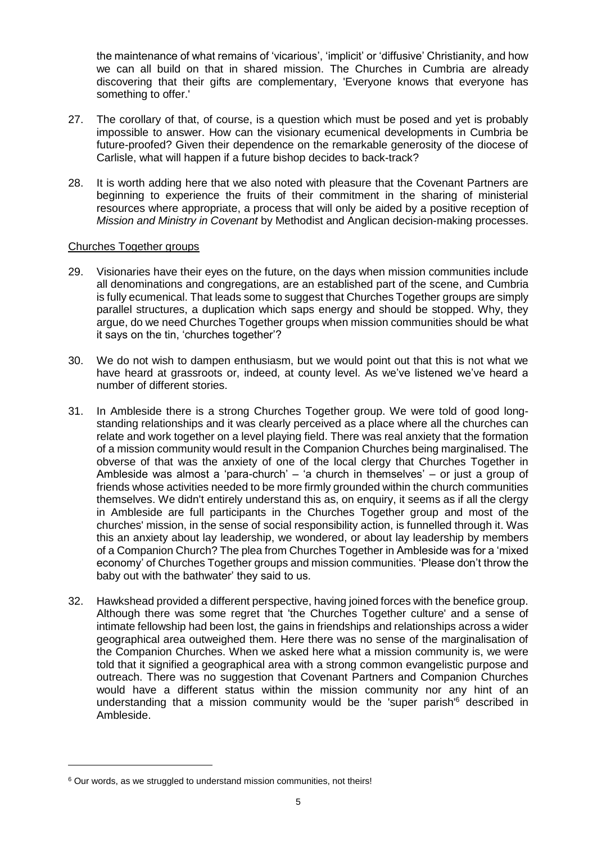the maintenance of what remains of 'vicarious', 'implicit' or 'diffusive' Christianity, and how we can all build on that in shared mission. The Churches in Cumbria are already discovering that their gifts are complementary, 'Everyone knows that everyone has something to offer.'

- 27. The corollary of that, of course, is a question which must be posed and yet is probably impossible to answer. How can the visionary ecumenical developments in Cumbria be future-proofed? Given their dependence on the remarkable generosity of the diocese of Carlisle, what will happen if a future bishop decides to back-track?
- 28. It is worth adding here that we also noted with pleasure that the Covenant Partners are beginning to experience the fruits of their commitment in the sharing of ministerial resources where appropriate, a process that will only be aided by a positive reception of *Mission and Ministry in Covenant* by Methodist and Anglican decision-making processes.

#### Churches Together groups

- 29. Visionaries have their eyes on the future, on the days when mission communities include all denominations and congregations, are an established part of the scene, and Cumbria is fully ecumenical. That leads some to suggest that Churches Together groups are simply parallel structures, a duplication which saps energy and should be stopped. Why, they argue, do we need Churches Together groups when mission communities should be what it says on the tin, 'churches together'?
- 30. We do not wish to dampen enthusiasm, but we would point out that this is not what we have heard at grassroots or, indeed, at county level. As we've listened we've heard a number of different stories.
- 31. In Ambleside there is a strong Churches Together group. We were told of good longstanding relationships and it was clearly perceived as a place where all the churches can relate and work together on a level playing field. There was real anxiety that the formation of a mission community would result in the Companion Churches being marginalised. The obverse of that was the anxiety of one of the local clergy that Churches Together in Ambleside was almost a 'para-church' – 'a church in themselves' – or just a group of friends whose activities needed to be more firmly grounded within the church communities themselves. We didn't entirely understand this as, on enquiry, it seems as if all the clergy in Ambleside are full participants in the Churches Together group and most of the churches' mission, in the sense of social responsibility action, is funnelled through it. Was this an anxiety about lay leadership, we wondered, or about lay leadership by members of a Companion Church? The plea from Churches Together in Ambleside was for a 'mixed economy' of Churches Together groups and mission communities. 'Please don't throw the baby out with the bathwater' they said to us.
- 32. Hawkshead provided a different perspective, having joined forces with the benefice group. Although there was some regret that 'the Churches Together culture' and a sense of intimate fellowship had been lost, the gains in friendships and relationships across a wider geographical area outweighed them. Here there was no sense of the marginalisation of the Companion Churches. When we asked here what a mission community is, we were told that it signified a geographical area with a strong common evangelistic purpose and outreach. There was no suggestion that Covenant Partners and Companion Churches would have a different status within the mission community nor any hint of an understanding that a mission community would be the 'super parish'<sup>6</sup> described in Ambleside.

<sup>&</sup>lt;sup>6</sup> Our words, as we struggled to understand mission communities, not theirs!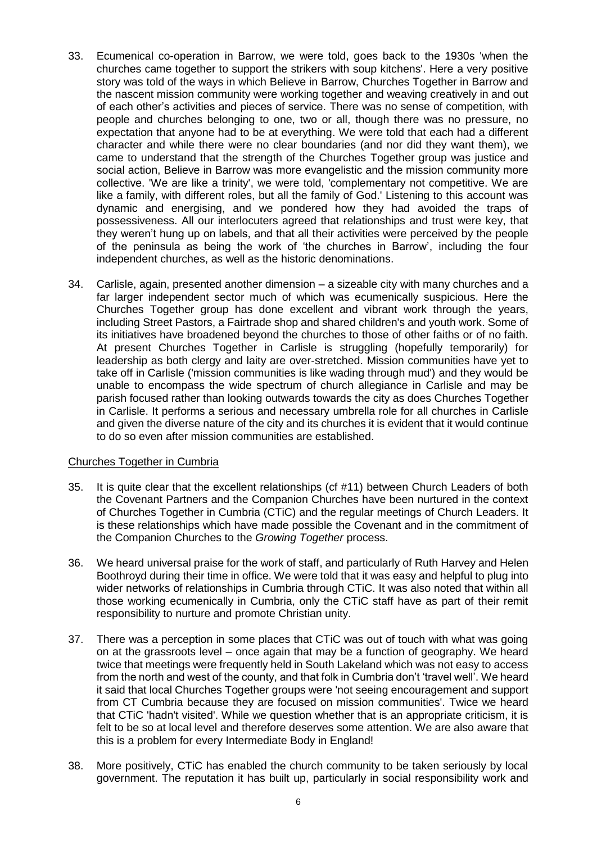- 33. Ecumenical co-operation in Barrow, we were told, goes back to the 1930s 'when the churches came together to support the strikers with soup kitchens'. Here a very positive story was told of the ways in which Believe in Barrow, Churches Together in Barrow and the nascent mission community were working together and weaving creatively in and out of each other's activities and pieces of service. There was no sense of competition, with people and churches belonging to one, two or all, though there was no pressure, no expectation that anyone had to be at everything. We were told that each had a different character and while there were no clear boundaries (and nor did they want them), we came to understand that the strength of the Churches Together group was justice and social action, Believe in Barrow was more evangelistic and the mission community more collective. 'We are like a trinity', we were told, 'complementary not competitive. We are like a family, with different roles, but all the family of God.' Listening to this account was dynamic and energising, and we pondered how they had avoided the traps of possessiveness. All our interlocuters agreed that relationships and trust were key, that they weren't hung up on labels, and that all their activities were perceived by the people of the peninsula as being the work of 'the churches in Barrow', including the four independent churches, as well as the historic denominations.
- 34. Carlisle, again, presented another dimension a sizeable city with many churches and a far larger independent sector much of which was ecumenically suspicious. Here the Churches Together group has done excellent and vibrant work through the years, including Street Pastors, a Fairtrade shop and shared children's and youth work. Some of its initiatives have broadened beyond the churches to those of other faiths or of no faith. At present Churches Together in Carlisle is struggling (hopefully temporarily) for leadership as both clergy and laity are over-stretched. Mission communities have yet to take off in Carlisle ('mission communities is like wading through mud') and they would be unable to encompass the wide spectrum of church allegiance in Carlisle and may be parish focused rather than looking outwards towards the city as does Churches Together in Carlisle. It performs a serious and necessary umbrella role for all churches in Carlisle and given the diverse nature of the city and its churches it is evident that it would continue to do so even after mission communities are established.

# Churches Together in Cumbria

- 35. It is quite clear that the excellent relationships (cf #11) between Church Leaders of both the Covenant Partners and the Companion Churches have been nurtured in the context of Churches Together in Cumbria (CTiC) and the regular meetings of Church Leaders. It is these relationships which have made possible the Covenant and in the commitment of the Companion Churches to the *Growing Together* process.
- 36. We heard universal praise for the work of staff, and particularly of Ruth Harvey and Helen Boothroyd during their time in office. We were told that it was easy and helpful to plug into wider networks of relationships in Cumbria through CTiC. It was also noted that within all those working ecumenically in Cumbria, only the CTiC staff have as part of their remit responsibility to nurture and promote Christian unity.
- 37. There was a perception in some places that CTiC was out of touch with what was going on at the grassroots level – once again that may be a function of geography. We heard twice that meetings were frequently held in South Lakeland which was not easy to access from the north and west of the county, and that folk in Cumbria don't 'travel well'. We heard it said that local Churches Together groups were 'not seeing encouragement and support from CT Cumbria because they are focused on mission communities'. Twice we heard that CTiC 'hadn't visited'. While we question whether that is an appropriate criticism, it is felt to be so at local level and therefore deserves some attention. We are also aware that this is a problem for every Intermediate Body in England!
- 38. More positively, CTiC has enabled the church community to be taken seriously by local government. The reputation it has built up, particularly in social responsibility work and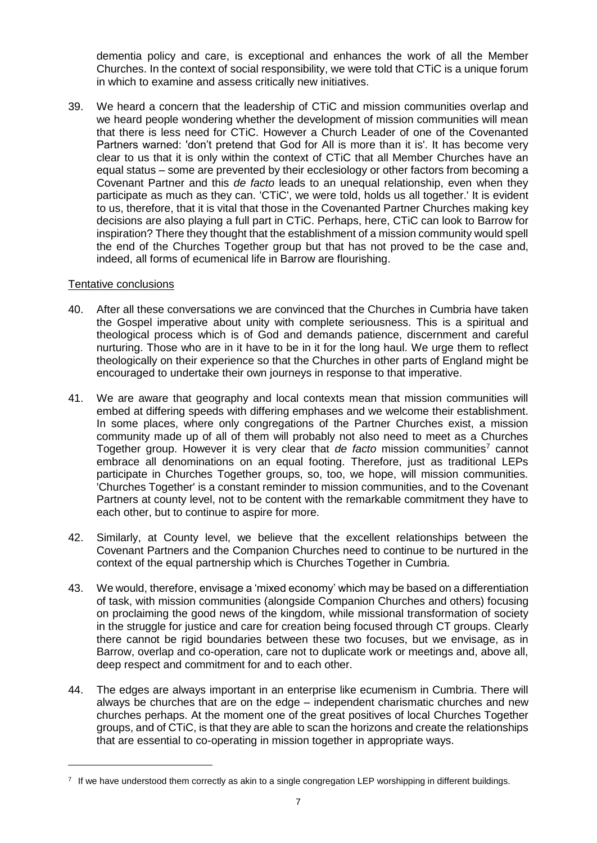dementia policy and care, is exceptional and enhances the work of all the Member Churches. In the context of social responsibility, we were told that CTiC is a unique forum in which to examine and assess critically new initiatives.

39. We heard a concern that the leadership of CTiC and mission communities overlap and we heard people wondering whether the development of mission communities will mean that there is less need for CTiC. However a Church Leader of one of the Covenanted Partners warned: 'don't pretend that God for All is more than it is'. It has become very clear to us that it is only within the context of CTiC that all Member Churches have an equal status – some are prevented by their ecclesiology or other factors from becoming a Covenant Partner and this *de facto* leads to an unequal relationship, even when they participate as much as they can. 'CTiC', we were told, holds us all together.' It is evident to us, therefore, that it is vital that those in the Covenanted Partner Churches making key decisions are also playing a full part in CTiC. Perhaps, here, CTiC can look to Barrow for inspiration? There they thought that the establishment of a mission community would spell the end of the Churches Together group but that has not proved to be the case and, indeed, all forms of ecumenical life in Barrow are flourishing.

#### Tentative conclusions

- 40. After all these conversations we are convinced that the Churches in Cumbria have taken the Gospel imperative about unity with complete seriousness. This is a spiritual and theological process which is of God and demands patience, discernment and careful nurturing. Those who are in it have to be in it for the long haul. We urge them to reflect theologically on their experience so that the Churches in other parts of England might be encouraged to undertake their own journeys in response to that imperative.
- 41. We are aware that geography and local contexts mean that mission communities will embed at differing speeds with differing emphases and we welcome their establishment. In some places, where only congregations of the Partner Churches exist, a mission community made up of all of them will probably not also need to meet as a Churches Together group. However it is very clear that *de facto* mission communities<sup>7</sup> cannot embrace all denominations on an equal footing. Therefore, just as traditional LEPs participate in Churches Together groups, so, too, we hope, will mission communities. 'Churches Together' is a constant reminder to mission communities, and to the Covenant Partners at county level, not to be content with the remarkable commitment they have to each other, but to continue to aspire for more.
- 42. Similarly, at County level, we believe that the excellent relationships between the Covenant Partners and the Companion Churches need to continue to be nurtured in the context of the equal partnership which is Churches Together in Cumbria.
- 43. We would, therefore, envisage a 'mixed economy' which may be based on a differentiation of task, with mission communities (alongside Companion Churches and others) focusing on proclaiming the good news of the kingdom, while missional transformation of society in the struggle for justice and care for creation being focused through CT groups. Clearly there cannot be rigid boundaries between these two focuses, but we envisage, as in Barrow, overlap and co-operation, care not to duplicate work or meetings and, above all, deep respect and commitment for and to each other.
- 44. The edges are always important in an enterprise like ecumenism in Cumbria. There will always be churches that are on the edge – independent charismatic churches and new churches perhaps. At the moment one of the great positives of local Churches Together groups, and of CTiC, is that they are able to scan the horizons and create the relationships that are essential to co-operating in mission together in appropriate ways.

 $7\;$  If we have understood them correctly as akin to a single congregation LEP worshipping in different buildings.